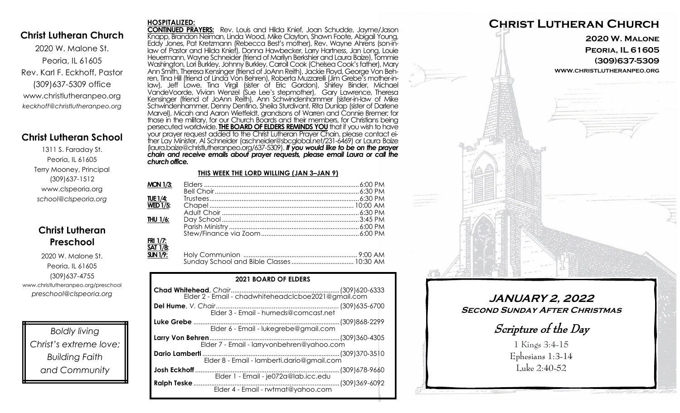### **Christ Lutheran Church**

2020 W. Malone St. Peoria, IL 61605 Rev. Karl F. Eckhoff, Pastor (309)637-5309 office www.christlutheranpeo.org *keckhoff@christlutheranpeo.org*

## **Christ Lutheran School**

1311 S. Faraday St. Peoria, IL 61605 Terry Mooney, Principal (309)637-1512 www.clspeoria.org *school@clspeoria.org*

## **Christ Lutheran Preschool**

2020 W. Malone St. Peoria, IL 61605 (309)637-4755 www.christlutheranpeo.org/preschool *preschool@clspeoria.org*

*Boldly living Christ's extreme love; Building Faith and Community*

#### **HOSPITALIZED:**

**SAT 1/8:**

**CONTINUED PRAYERS:** Rev. Louis and Hilda Knief, Joan Schudde, Jayme/Jason Knapp, Brandon Neiman, Linda Wood, Mike Clayton, Shawn Foote, Abigail Young, Eddy Jones, Pat Kretzmann (Rebecca Best's mother), Rev. Wayne Ahrens (son-inlaw of Pastor and Hilda Knief), Donna Hawbecker, Larry Hartness, Jan Long, Louie Heuermann, Wayne Schneider (friend of Marilyn Berkshier and Laura Baize), Tommie Washington, Lori Burkley, Johnny Burkley, Carroll Cook (Chelsea Cook's father), Mary Ann Smith, Theresa Kensinger (friend of JoAnn Reith), Jackie Floyd, George Von Behren, Tina Hill (friend of Linda Von Behren), Roberta Muzzarelli (Jim Grebe's mother-inlaw), Jeff Lowe, Tina Virgil (sister of Eric Gordon), Shirley Binder, Michael VandeVoorde, Vivian Wenzel (Sue Lee's stepmother), Gary Lawrence, Theresa Kensinger (friend of JoAnn Reith), Ann Schwindenhammer (sister-in-law of Mike Schwindenhammer, Denny Dentino, Sheila Sturdivant, Rita Dunlap (sister of Darlene Marvel), Micah and Aaron Wietfeldt, grandsons of Warren and Connie Bremer; for those in the military, for our Church Boards and their members, for Christians being persecuted worldwide. **THE BOARD OF ELDERS REMINDS YOU**that if you wish to have your prayer request added to the Christ Lutheran Prayer Chain, please contact either Lay Minister, Al Schneider (aschneider@sbcglobal.net/231-6469) or Laura Baize (laura.baize@christlutheranpeo.org/637-5309). *If you would like to be on the prayer chain and receive emails about prayer requests, please email Laura or call the church office.*

#### **THIS WEEK THE LORD WILLING (JAN 3–JAN 9)**

| <b>MON 1/3:</b> |  |
|-----------------|--|
|                 |  |
|                 |  |
|                 |  |
|                 |  |
| $H$ U 1/6:      |  |
|                 |  |
|                 |  |
| FRI 1/7:        |  |

| <b>SUN 1/9:</b> |  |
|-----------------|--|
|                 |  |

| <b>2021 BOARD OF ELDERS</b>                                         |  |
|---------------------------------------------------------------------|--|
|                                                                     |  |
|                                                                     |  |
| Elder 6 - Email - lukegrebe@gmail.com                               |  |
| Elder 7 - Email - larryvonbehren@yahoo.com                          |  |
| <b>Dario Lamberti</b><br>Elder 8 - Email - lamberti.dario@gmail.com |  |
| Elder 1 - Email - je072a@lab.icc.edu                                |  |
| Elder 4 - Email - rwtmat@yahoo.com                                  |  |



**JANUARY 2, 2022 Second Sunday After Christmas**

Scripture of the Day

1 Kings 3:4-15 Ephesians 1:3-14 Luke 2:40-52